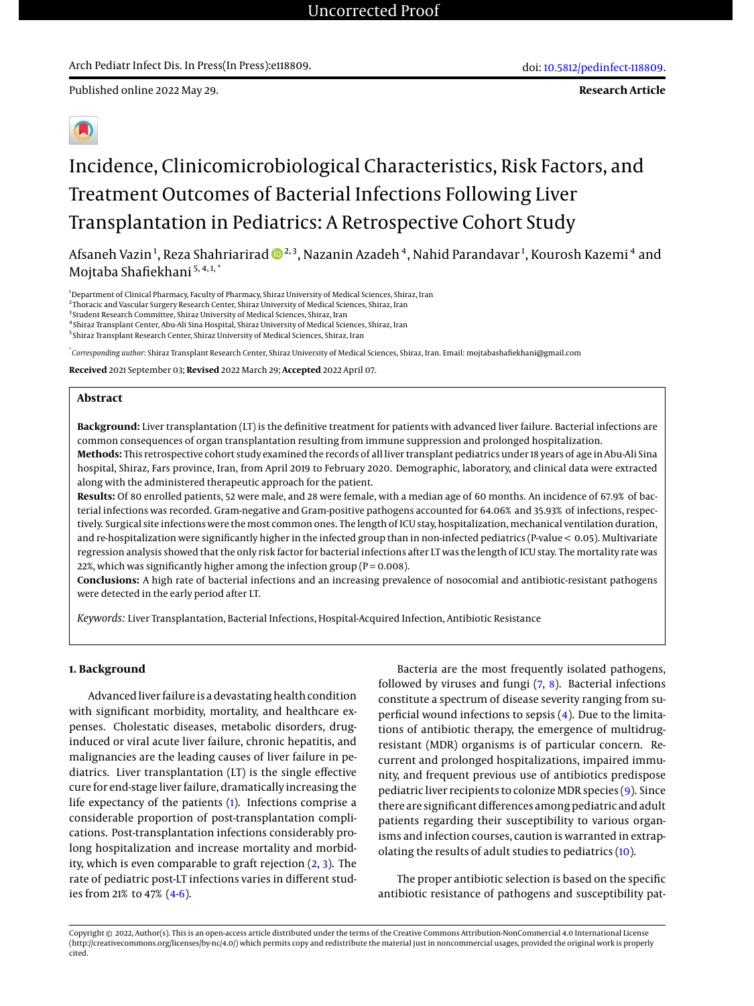Published online 2022 May 29.



# Incidence, Clinicomicrobiological Characteristics, Risk Factors, and Treatment Outcomes of Bacterial Infections Following Liver Transplantation in Pediatrics: A Retrospective Cohort Study

Afsaneh Vazin<sup>1</sup> , Reza Shahriarirad 2, 3, Nazanin Azadeh<sup>4</sup> , Nahid Parandavar <sup>1</sup> , Kourosh Kazemi <sup>4</sup> and Mojtaba Shafiekhani<sup>5, 4,1,\*</sup>

<sup>1</sup>Department of Clinical Pharmacy, Faculty of Pharmacy, Shiraz University of Medical Sciences, Shiraz, Iran

<sup>2</sup> Thoracic and Vascular Surgery Research Center, Shiraz University of Medical Sciences, Shiraz, Iran

<sup>3</sup> Student Research Committee, Shiraz University of Medical Sciences, Shiraz, Iran 4 Shiraz Transplant Center, Abu-Ali Sina Hospital, Shiraz University of Medical Sciences, Shiraz, Iran

5 Shiraz Transplant Research Center, Shiraz University of Medical Sciences, Shiraz, Iran

\* *Corresponding author*: Shiraz Transplant Research Center, Shiraz University of Medical Sciences, Shiraz, Iran. Email: mojtabashafiekhani@gmail.com

**Received** 2021 September 03; **Revised** 2022 March 29; **Accepted** 2022 April 07.

#### **Abstract**

**Background:** Liver transplantation (LT) is the definitive treatment for patients with advanced liver failure. Bacterial infections are common consequences of organ transplantation resulting from immune suppression and prolonged hospitalization.

**Methods:** This retrospective cohort study examined the records of all liver transplant pediatrics under 18 years of age in Abu-Ali Sina hospital, Shiraz, Fars province, Iran, from April 2019 to February 2020. Demographic, laboratory, and clinical data were extracted along with the administered therapeutic approach for the patient.

**Results:** Of 80 enrolled patients, 52 were male, and 28 were female, with a median age of 60 months. An incidence of 67.9% of bacterial infections was recorded. Gram-negative and Gram-positive pathogens accounted for 64.06% and 35.93% of infections, respectively. Surgical site infections were the most common ones. The length of ICU stay, hospitalization, mechanical ventilation duration, and re-hospitalization were significantly higher in the infected group than in non-infected pediatrics (P-value < 0.05). Multivariate regression analysis showed that the only risk factor for bacterial infections after LT was the length of ICU stay. The mortality rate was 22%, which was significantly higher among the infection group ( $P = 0.008$ ).

**Conclusions:** A high rate of bacterial infections and an increasing prevalence of nosocomial and antibiotic-resistant pathogens were detected in the early period after LT.

*Keywords:* Liver Transplantation, Bacterial Infections, Hospital-Acquired Infection, Antibiotic Resistance

#### **1. Background**

Advanced liver failure is a devastating health condition with significant morbidity, mortality, and healthcare expenses. Cholestatic diseases, metabolic disorders, druginduced or viral acute liver failure, chronic hepatitis, and malignancies are the leading causes of liver failure in pediatrics. Liver transplantation (LT) is the single effective cure for end-stage liver failure, dramatically increasing the life expectancy of the patients [\(1\)](#page-5-0). Infections comprise a considerable proportion of post-transplantation complications. Post-transplantation infections considerably prolong hospitalization and increase mortality and morbidity, which is even comparable to graft rejection  $(2, 3)$  $(2, 3)$  $(2, 3)$ . The rate of pediatric post-LT infections varies in different studies from 21% to 47%  $(4-6)$  $(4-6)$ .

Bacteria are the most frequently isolated pathogens, followed by viruses and fungi [\(7,](#page-6-3) [8\)](#page-6-4). Bacterial infections constitute a spectrum of disease severity ranging from superficial wound infections to sepsis [\(4\)](#page-6-1). Due to the limitations of antibiotic therapy, the emergence of multidrugresistant (MDR) organisms is of particular concern. Recurrent and prolonged hospitalizations, impaired immunity, and frequent previous use of antibiotics predispose pediatric liver recipients to colonize MDR species [\(9\)](#page-6-5). Since there are significant differences among pediatric and adult patients regarding their susceptibility to various organisms and infection courses, caution is warranted in extrapolating the results of adult studies to pediatrics [\(10\)](#page-6-6).

The proper antibiotic selection is based on the specific antibiotic resistance of pathogens and susceptibility pat-

Copyright © 2022, Author(s). This is an open-access article distributed under the terms of the Creative Commons Attribution-NonCommercial 4.0 International License (http://creativecommons.org/licenses/by-nc/4.0/) which permits copy and redistribute the material just in noncommercial usages, provided the original work is properly cited.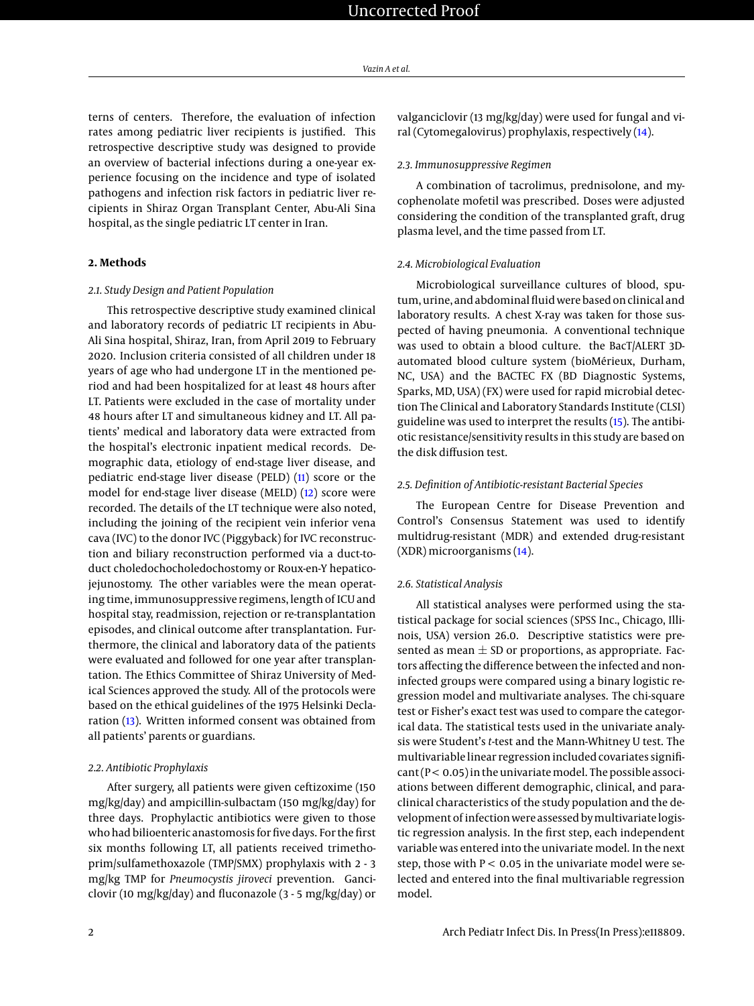terns of centers. Therefore, the evaluation of infection rates among pediatric liver recipients is justified. This retrospective descriptive study was designed to provide an overview of bacterial infections during a one-year experience focusing on the incidence and type of isolated pathogens and infection risk factors in pediatric liver recipients in Shiraz Organ Transplant Center, Abu-Ali Sina hospital, as the single pediatric LT center in Iran.

#### **2. Methods**

#### *2.1. Study Design and Patient Population*

This retrospective descriptive study examined clinical and laboratory records of pediatric LT recipients in Abu-Ali Sina hospital, Shiraz, Iran, from April 2019 to February 2020. Inclusion criteria consisted of all children under 18 years of age who had undergone LT in the mentioned period and had been hospitalized for at least 48 hours after LT. Patients were excluded in the case of mortality under 48 hours after LT and simultaneous kidney and LT. All patients' medical and laboratory data were extracted from the hospital's electronic inpatient medical records. Demographic data, etiology of end-stage liver disease, and pediatric end-stage liver disease (PELD) [\(11\)](#page-6-7) score or the model for end-stage liver disease (MELD) [\(12\)](#page-6-8) score were recorded. The details of the LT technique were also noted, including the joining of the recipient vein inferior vena cava (IVC) to the donor IVC (Piggyback) for IVC reconstruction and biliary reconstruction performed via a duct-toduct choledochocholedochostomy or Roux-en-Y hepaticojejunostomy. The other variables were the mean operating time, immunosuppressive regimens, length of ICU and hospital stay, readmission, rejection or re-transplantation episodes, and clinical outcome after transplantation. Furthermore, the clinical and laboratory data of the patients were evaluated and followed for one year after transplantation. The Ethics Committee of Shiraz University of Medical Sciences approved the study. All of the protocols were based on the ethical guidelines of the 1975 Helsinki Declaration [\(13\)](#page-6-9). Written informed consent was obtained from all patients' parents or guardians.

#### *2.2. Antibiotic Prophylaxis*

After surgery, all patients were given ceftizoxime (150 mg/kg/day) and ampicillin-sulbactam (150 mg/kg/day) for three days. Prophylactic antibiotics were given to those who had bilioenteric anastomosis for five days. For the first six months following LT, all patients received trimethoprim/sulfamethoxazole (TMP/SMX) prophylaxis with 2 - 3 mg/kg TMP for *Pneumocystis jiroveci* prevention. Ganciclovir (10 mg/kg/day) and fluconazole (3 - 5 mg/kg/day) or

valganciclovir (13 mg/kg/day) were used for fungal and viral (Cytomegalovirus) prophylaxis, respectively [\(14\)](#page-6-10).

#### *2.3. Immunosuppressive Regimen*

A combination of tacrolimus, prednisolone, and mycophenolate mofetil was prescribed. Doses were adjusted considering the condition of the transplanted graft, drug plasma level, and the time passed from LT.

#### *2.4. Microbiological Evaluation*

Microbiological surveillance cultures of blood, sputum, urine, and abdominal fluid were based on clinical and laboratory results. A chest X-ray was taken for those suspected of having pneumonia. A conventional technique was used to obtain a blood culture. the BacT/ALERT 3Dautomated blood culture system (bioMérieux, Durham, NC, USA) and the BACTEC FX (BD Diagnostic Systems, Sparks, MD, USA) (FX) were used for rapid microbial detection The Clinical and Laboratory Standards Institute (CLSI) guideline was used to interpret the results [\(15\)](#page-6-11). The antibiotic resistance/sensitivity results in this study are based on the disk diffusion test.

#### *2.5. Definition of Antibiotic-resistant Bacterial Species*

The European Centre for Disease Prevention and Control's Consensus Statement was used to identify multidrug-resistant (MDR) and extended drug-resistant (XDR) microorganisms [\(14\)](#page-6-10).

#### *2.6. Statistical Analysis*

All statistical analyses were performed using the statistical package for social sciences (SPSS Inc., Chicago, Illinois, USA) version 26.0. Descriptive statistics were presented as mean  $\pm$  SD or proportions, as appropriate. Factors affecting the difference between the infected and noninfected groups were compared using a binary logistic regression model and multivariate analyses. The chi-square test or Fisher's exact test was used to compare the categorical data. The statistical tests used in the univariate analysis were Student's *t*-test and the Mann-Whitney U test. The multivariable linear regression included covariates signifi $cant (P < 0.05)$  in the univariate model. The possible associations between different demographic, clinical, and paraclinical characteristics of the study population and the development of infection were assessed bymultivariate logistic regression analysis. In the first step, each independent variable was entered into the univariate model. In the next step, those with  $P < 0.05$  in the univariate model were selected and entered into the final multivariable regression model.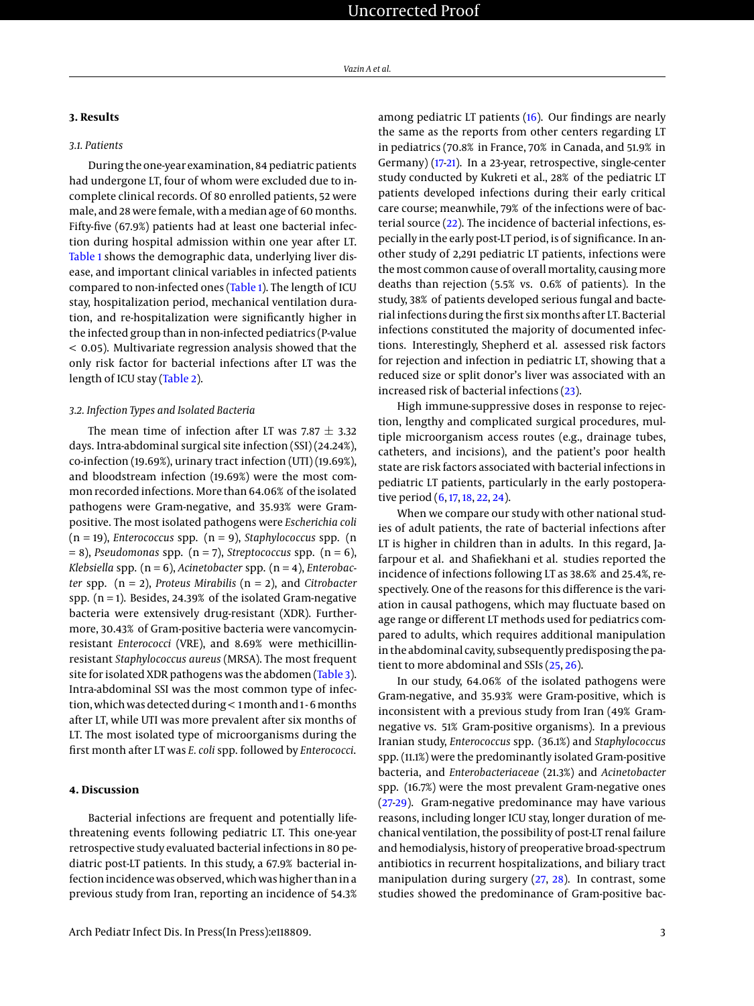#### **3. Results**

#### *3.1. Patients*

During the one-year examination, 84 pediatric patients had undergone LT, four of whom were excluded due to incomplete clinical records. Of 80 enrolled patients, 52 were male, and 28 were female, with a median age of 60 months. Fifty-five (67.9%) patients had at least one bacterial infection during hospital admission within one year after LT. [Table 1](#page-8-0) shows the demographic data, underlying liver disease, and important clinical variables in infected patients compared to non-infected ones [\(Table 1\)](#page-8-0). The length of ICU stay, hospitalization period, mechanical ventilation duration, and re-hospitalization were significantly higher in the infected group than in non-infected pediatrics (P-value < 0.05). Multivariate regression analysis showed that the only risk factor for bacterial infections after LT was the length of ICU stay [\(Table 2\)](#page-3-0).

#### *3.2. Infection Types and Isolated Bacteria*

The mean time of infection after LT was 7.87  $\pm$  3.32 days. Intra-abdominal surgical site infection (SSI) (24.24%), co-infection (19.69%), urinary tract infection (UTI) (19.69%), and bloodstream infection (19.69%) were the most common recorded infections. More than 64.06% of the isolated pathogens were Gram-negative, and 35.93% were Grampositive. The most isolated pathogens were *Escherichia coli* (n = 19), *Enterococcus* spp. (n = 9), *Staphylococcus* spp. (n  $= 8$ ), *Pseudomonas* spp. (n = 7), *Streptococcus* spp. (n = 6), *Klebsiella* spp. (n = 6), *Acinetobacter* spp. (n = 4), *Enterobacter* spp. (n = 2), *Proteus Mirabilis* (n = 2), and *Citrobacter* spp.  $(n = 1)$ . Besides, 24.39% of the isolated Gram-negative bacteria were extensively drug-resistant (XDR). Furthermore, 30.43% of Gram-positive bacteria were vancomycinresistant *Enterococci* (VRE), and 8.69% were methicillinresistant *Staphylococcus aureus* (MRSA). The most frequent site for isolated XDR pathogens was the abdomen [\(Table 3\)](#page-4-0). Intra-abdominal SSI was the most common type of infection, which was detected during < 1month and 1 - 6months after LT, while UTI was more prevalent after six months of LT. The most isolated type of microorganisms during the first month after LT was *E. coli* spp. followed by *Enterococci*.

#### **4. Discussion**

Bacterial infections are frequent and potentially lifethreatening events following pediatric LT. This one-year retrospective study evaluated bacterial infections in 80 pediatric post-LT patients. In this study, a 67.9% bacterial infection incidence was observed, which was higher than in a previous study from Iran, reporting an incidence of 54.3%

among pediatric LT patients [\(16\)](#page-6-12). Our findings are nearly the same as the reports from other centers regarding LT in pediatrics (70.8% in France, 70% in Canada, and 51.9% in Germany) [\(17-](#page-6-13)[21\)](#page-6-14). In a 23-year, retrospective, single-center study conducted by Kukreti et al., 28% of the pediatric LT patients developed infections during their early critical care course; meanwhile, 79% of the infections were of bacterial source [\(22\)](#page-6-15). The incidence of bacterial infections, especially in the early post-LT period, is of significance. In another study of 2,291 pediatric LT patients, infections were the most common cause of overall mortality, causing more deaths than rejection (5.5% vs. 0.6% of patients). In the study, 38% of patients developed serious fungal and bacterial infections during the first six months after LT. Bacterial infections constituted the majority of documented infections. Interestingly, Shepherd et al. assessed risk factors for rejection and infection in pediatric LT, showing that a reduced size or split donor's liver was associated with an increased risk of bacterial infections [\(23\)](#page-6-16).

High immune-suppressive doses in response to rejection, lengthy and complicated surgical procedures, multiple microorganism access routes (e.g., drainage tubes, catheters, and incisions), and the patient's poor health state are risk factors associated with bacterial infections in pediatric LT patients, particularly in the early postoperative period [\(6,](#page-6-2) [17,](#page-6-13) [18,](#page-6-17) [22,](#page-6-15) [24\)](#page-6-18).

When we compare our study with other national studies of adult patients, the rate of bacterial infections after LT is higher in children than in adults. In this regard, Jafarpour et al. and Shafiekhani et al. studies reported the incidence of infections following LT as 38.6% and 25.4%, respectively. One of the reasons for this difference is the variation in causal pathogens, which may fluctuate based on age range or different LT methods used for pediatrics compared to adults, which requires additional manipulation in the abdominal cavity, subsequently predisposing the patient to more abdominal and SSIs [\(25,](#page-6-19) [26\)](#page-6-20).

In our study, 64.06% of the isolated pathogens were Gram-negative, and 35.93% were Gram-positive, which is inconsistent with a previous study from Iran (49% Gramnegative vs. 51% Gram-positive organisms). In a previous Iranian study, *Enterococcus* spp. (36.1%) and *Staphylococcus* spp. (11.1%) were the predominantly isolated Gram-positive bacteria, and *Enterobacteriaceae* (21.3%) and *Acinetobacter* spp. (16.7%) were the most prevalent Gram-negative ones [\(27-](#page-6-21)[29\)](#page-6-22). Gram-negative predominance may have various reasons, including longer ICU stay, longer duration of mechanical ventilation, the possibility of post-LT renal failure and hemodialysis, history of preoperative broad-spectrum antibiotics in recurrent hospitalizations, and biliary tract manipulation during surgery [\(27,](#page-6-21) [28\)](#page-6-23). In contrast, some studies showed the predominance of Gram-positive bac-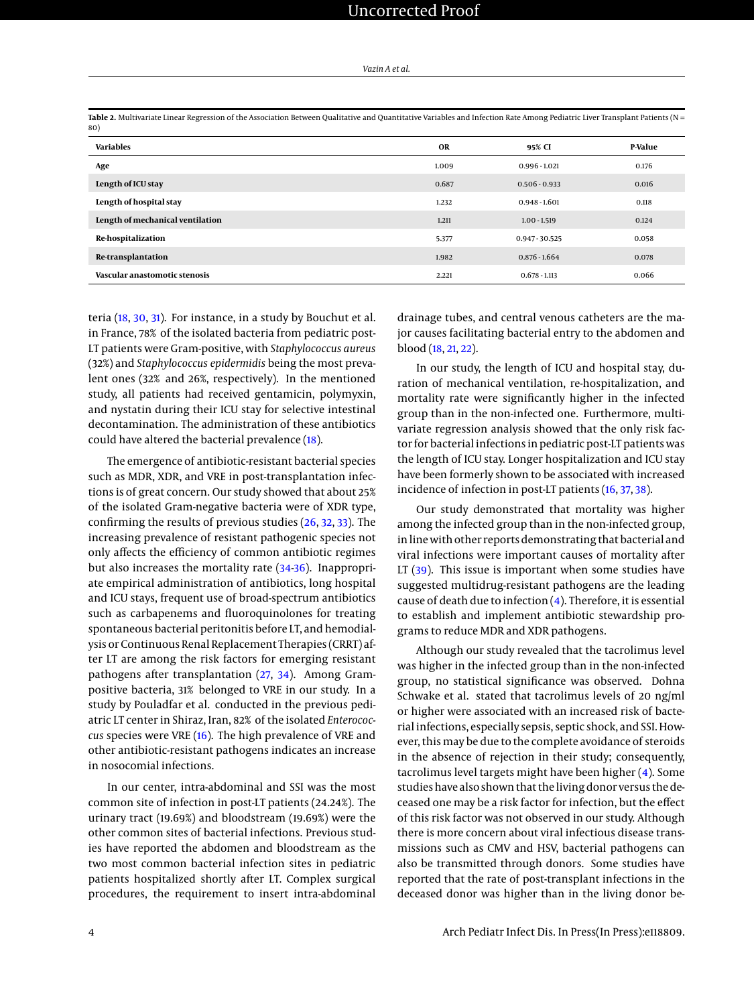| Vazin A et al. |  |
|----------------|--|
|----------------|--|

| <b>Variables</b>                 | OR    | 95% CI           | P-Value |
|----------------------------------|-------|------------------|---------|
| Age                              | 1.009 | $0.996 - 1.021$  | 0.176   |
| Length of ICU stay               | 0.687 | $0.506 - 0.933$  | 0.016   |
| Length of hospital stay          | 1.232 | $0.948 - 1.601$  | 0.118   |
| Length of mechanical ventilation | 1.211 | $1.00 - 1.519$   | 0.124   |
| Re-hospitalization               | 5.377 | $0.947 - 30.525$ | 0.058   |
| Re-transplantation               | 1.982 | $0.876 - 1.664$  | 0.078   |
| Vascular anastomotic stenosis    | 2.221 | $0.678 - 1.113$  | 0.066   |
|                                  |       |                  |         |

<span id="page-3-0"></span>**Table 2.** Multivariate Linear Regression of the Association Between Qualitative and Quantitative Variables and Infection Rate Among Pediatric Liver Transplant Patients (N =

teria [\(18,](#page-6-17) [30,](#page-6-24) [31\)](#page-6-25). For instance, in a study by Bouchut et al. in France, 78% of the isolated bacteria from pediatric post-LT patients were Gram-positive, with *Staphylococcus aureus* (32%) and *Staphylococcus epidermidis* being the most prevalent ones (32% and 26%, respectively). In the mentioned study, all patients had received gentamicin, polymyxin, and nystatin during their ICU stay for selective intestinal decontamination. The administration of these antibiotics could have altered the bacterial prevalence [\(18\)](#page-6-17).

The emergence of antibiotic-resistant bacterial species such as MDR, XDR, and VRE in post-transplantation infections is of great concern. Our study showed that about 25% of the isolated Gram-negative bacteria were of XDR type, confirming the results of previous studies [\(26,](#page-6-20) [32,](#page-6-26) [33\)](#page-7-0). The increasing prevalence of resistant pathogenic species not only affects the efficiency of common antibiotic regimes but also increases the mortality rate [\(34](#page-7-1)[-36\)](#page-7-2). Inappropriate empirical administration of antibiotics, long hospital and ICU stays, frequent use of broad-spectrum antibiotics such as carbapenems and fluoroquinolones for treating spontaneous bacterial peritonitis before LT, and hemodialysis or Continuous Renal Replacement Therapies (CRRT) after LT are among the risk factors for emerging resistant pathogens after transplantation [\(27,](#page-6-21) [34\)](#page-7-1). Among Grampositive bacteria, 31% belonged to VRE in our study. In a study by Pouladfar et al. conducted in the previous pediatric LT center in Shiraz, Iran, 82% of the isolated *Enterococcus* species were VRE [\(16\)](#page-6-12). The high prevalence of VRE and other antibiotic-resistant pathogens indicates an increase in nosocomial infections.

In our center, intra-abdominal and SSI was the most common site of infection in post-LT patients (24.24%). The urinary tract (19.69%) and bloodstream (19.69%) were the other common sites of bacterial infections. Previous studies have reported the abdomen and bloodstream as the two most common bacterial infection sites in pediatric patients hospitalized shortly after LT. Complex surgical procedures, the requirement to insert intra-abdominal drainage tubes, and central venous catheters are the major causes facilitating bacterial entry to the abdomen and blood [\(18,](#page-6-17) [21,](#page-6-14) [22\)](#page-6-15).

In our study, the length of ICU and hospital stay, duration of mechanical ventilation, re-hospitalization, and mortality rate were significantly higher in the infected group than in the non-infected one. Furthermore, multivariate regression analysis showed that the only risk factor for bacterial infections in pediatric post-LT patients was the length of ICU stay. Longer hospitalization and ICU stay have been formerly shown to be associated with increased incidence of infection in post-LT patients [\(16,](#page-6-12) [37,](#page-7-3) [38\)](#page-7-4).

Our study demonstrated that mortality was higher among the infected group than in the non-infected group, in line with other reports demonstrating that bacterial and viral infections were important causes of mortality after LT [\(39\)](#page-7-5). This issue is important when some studies have suggested multidrug-resistant pathogens are the leading cause of death due to infection  $(4)$ . Therefore, it is essential to establish and implement antibiotic stewardship programs to reduce MDR and XDR pathogens.

Although our study revealed that the tacrolimus level was higher in the infected group than in the non-infected group, no statistical significance was observed. Dohna Schwake et al. stated that tacrolimus levels of 20 ng/ml or higher were associated with an increased risk of bacterial infections, especially sepsis, septic shock, and SSI. However, this may be due to the complete avoidance of steroids in the absence of rejection in their study; consequently, tacrolimus level targets might have been higher [\(4\)](#page-6-1). Some studies have also shown that the living donor versus the deceased one may be a risk factor for infection, but the effect of this risk factor was not observed in our study. Although there is more concern about viral infectious disease transmissions such as CMV and HSV, bacterial pathogens can also be transmitted through donors. Some studies have reported that the rate of post-transplant infections in the deceased donor was higher than in the living donor be-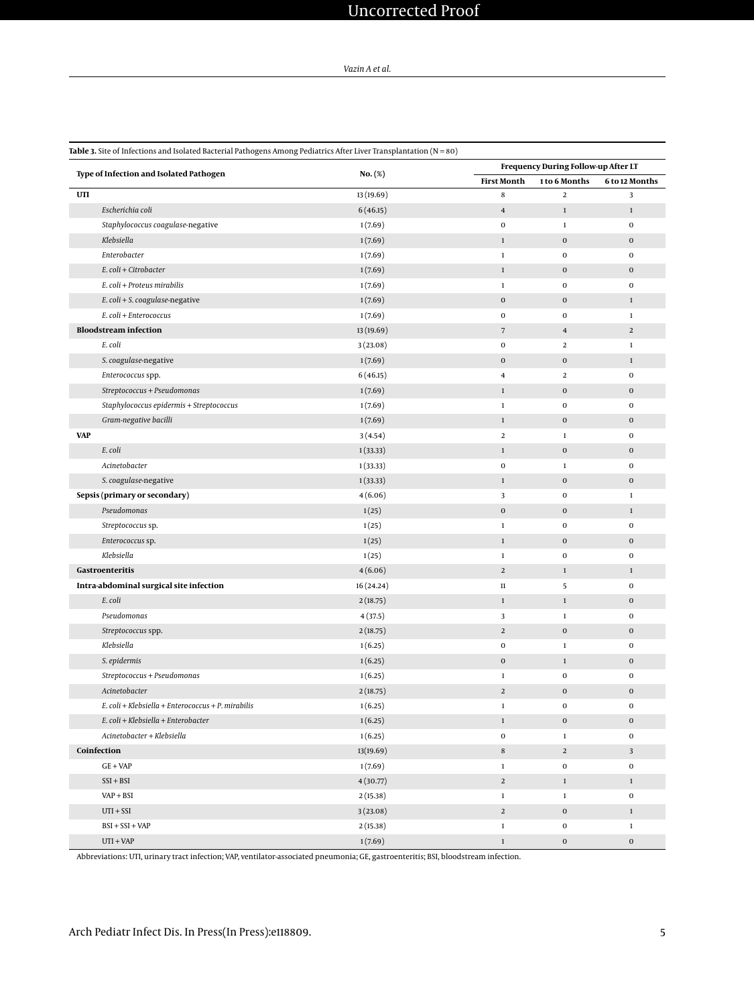*Vazin A et al.*

<span id="page-4-0"></span>

|             |                                                    |                      |                         | Frequency During Follow-up After LT |                       |  |  |
|-------------|----------------------------------------------------|----------------------|-------------------------|-------------------------------------|-----------------------|--|--|
|             | Type of Infection and Isolated Pathogen            | $No.(\%)$            | <b>First Month</b>      | 1 to 6 Months                       | <b>6 to 12 Months</b> |  |  |
| UTI         |                                                    | 13 (19.69)           | 8                       | $\boldsymbol{2}$                    | 3                     |  |  |
|             | Escherichia coli                                   | 6(46.15)             | $\bf 4$                 | $\mathbf 1$                         | $\,1\,$               |  |  |
|             | Staphylococcus coagulase-negative                  | 1(7.69)              | $\pmb{0}$               | $\mathbf 1$                         | $\mathbf 0$           |  |  |
|             | Klebsiella                                         | 1(7.69)              | $\,1\,$                 | $\boldsymbol{0}$                    | $\mathbf 0$           |  |  |
|             | Enterobacter                                       | 1(7.69)              | $\,1\,$                 | $\mathbf 0$                         | $\mathbf 0$           |  |  |
|             | E. coli + Citrobacter                              | 1(7.69)              | $\,1\,$                 | $\bf{0}$                            | $\mathbf 0$           |  |  |
|             | E. coli + Proteus mirabilis                        | 1(7.69)              | $\,1$                   | 0                                   | $\mathbf 0$           |  |  |
|             | $E.$ coli + S. coagulase-negative                  | 1(7.69)              | $\boldsymbol{0}$        | $\pmb{0}$                           | $\mathbf{1}$          |  |  |
|             | E. coli + Enterococcus                             | 1(7.69)              | $\pmb{0}$               | 0                                   | $\mathbf{1}$          |  |  |
|             | <b>Bloodstream infection</b>                       | 13 (19.69)           | $\overline{7}$          | $\bf 4$                             | $\overline{a}$        |  |  |
|             | E. coli                                            | 3(23.08)             | $\pmb{0}$               | $\overline{2}$                      | $\mathbf{1}$          |  |  |
|             | S. coagulase-negative                              | 1(7.69)              | $\bf{0}$                | $\bf{0}$                            | $1\,$                 |  |  |
|             | Enterococcus spp.                                  | 6(46.15)             | $\overline{\mathbf{4}}$ | $\overline{a}$                      | $\mathbf 0$           |  |  |
|             | Streptococcus + Pseudomonas                        | 1(7.69)              | $\mathbf 1$             | $\bf{0}$                            | $\mathbf 0$           |  |  |
|             | Staphylococcus epidermis + Streptococcus           | 1(7.69)              | $\,1$                   | 0                                   | $\mathbf 0$           |  |  |
|             | Gram-negative bacilli                              | 1(7.69)              | $\,1$                   | $\mathbf 0$                         | $\mathbf 0$           |  |  |
| <b>VAP</b>  |                                                    | 3(4.54)              | $\,2$                   | $\mathbf{1}$                        | $\mathbf 0$           |  |  |
|             | E. coli                                            | 1(33.33)             | $\mathbf 1$             | $\boldsymbol{0}$                    | $\mathbf 0$           |  |  |
|             | Acinetobacter                                      | 1(33.33)             | $\pmb{0}$               | $\mathbf 1$                         | $\mathbf 0$           |  |  |
|             | S. coagulase-negative                              | 1(33.33)             | $\,1\,$                 | $\boldsymbol{0}$                    | $\mathbf 0$           |  |  |
|             | Sepsis (primary or secondary)                      | 4(6.06)              | 3                       | 0                                   | $\mathbf{1}$          |  |  |
|             | Pseudomonas                                        | 1(25)                | $\bf{0}$                | $\bf{0}$                            | $\mathbf{1}$          |  |  |
|             | Streptococcus sp.                                  | 1(25)                | $\,1\,$                 | $\bf{0}$                            | $\mathbf 0$           |  |  |
|             | Enterococcus sp.                                   | 1(25)                | $\,1\,$                 | $\mathbf 0$                         | $\mathbf 0$           |  |  |
|             | Klebsiella                                         | 1(25)                | $\,1\,$                 | $\pmb{0}$                           | $\mathbf 0$           |  |  |
|             | Gastroenteritis                                    | 4(6.06)              | $\mathbf 2$             | $\mathbf{1}$                        | $\mathbf{1}$          |  |  |
|             | Intra-abdominal surgical site infection            | 16 (24.24)           | $11\,$                  | 5                                   | $\mathbf 0$           |  |  |
|             | E. coli                                            | 2(18.75)             | $\,1\,$                 | $\mathbf{1}$                        | $\mathbf 0$           |  |  |
|             | Pseudomonas                                        | 4(37.5)              | 3                       | $\mathbf 1$                         | $\mathbf 0$           |  |  |
|             | Streptococcus spp.                                 | 2(18.75)             | $\overline{2}$          | $\mathbf 0$                         | $\mathbf 0$           |  |  |
|             | Klebsiella                                         | 1(6.25)              | $\mathbf 0$             | $\mathbf 1$                         | $\mathbf 0$           |  |  |
|             | S. epidermis                                       | 1(6.25)              | $\mathbf 0$             | $\mathbf{1}$                        | $\mathbf 0$           |  |  |
|             | Streptococcus + Pseudomonas                        | 1(6.25)              | $\,1\,$                 | $\boldsymbol{0}$                    | $\mathbf 0$           |  |  |
|             | Acinetobacter                                      | 2(18.75)             | $\boldsymbol{2}$        | $\pmb{0}$                           | $\mathbf 0$           |  |  |
|             | E. coli + Klebsiella + Enterococcus + P. mirabilis | 1(6.25)              | $\mathbf 1$             | $\mathbf 0$                         | $\mathbf 0$           |  |  |
|             | E. coli + Klebsiella + Enterobacter                | 1(6.25)              | $\,1\,$                 | $\boldsymbol{0}$                    | $\boldsymbol{0}$      |  |  |
|             | Acinetobacter + Klebsiella                         | 1(6.25)              | $\mathbf 0$             | $\mathbf 1$                         | $\mathbf 0$           |  |  |
| Coinfection |                                                    | 13(19.69)            | $\,$ 8 $\,$             | $\overline{a}$                      | $\mathbf{3}$          |  |  |
|             | $GE + VAP$                                         | 1(7.69)              | $\,1$                   | $\boldsymbol{0}$                    | $\pmb{0}$             |  |  |
|             | $SSI + BSI$                                        | 4(30.77)             | $\sqrt{2}$              | $\mathbf{1}$                        | $\mathbf{1}$          |  |  |
|             | $VAP + BSI$                                        | 2(15.38)             | $\,1$                   | $\mathbf 1$                         | $\mathbf 0$           |  |  |
|             |                                                    |                      |                         |                                     |                       |  |  |
|             |                                                    |                      |                         |                                     |                       |  |  |
|             | $UTI + SST$<br>$BSI + SSI + VAP$                   | 3(23.08)<br>2(15.38) | $\overline{a}$<br>$\,1$ | $\mathbf 0$<br>$\boldsymbol{0}$     | $1\,$<br>$\,1\,$      |  |  |

Abbreviations: UTI, urinary tract infection; VAP, ventilator-associated pneumonia; GE, gastroenteritis; BSI, bloodstream infection.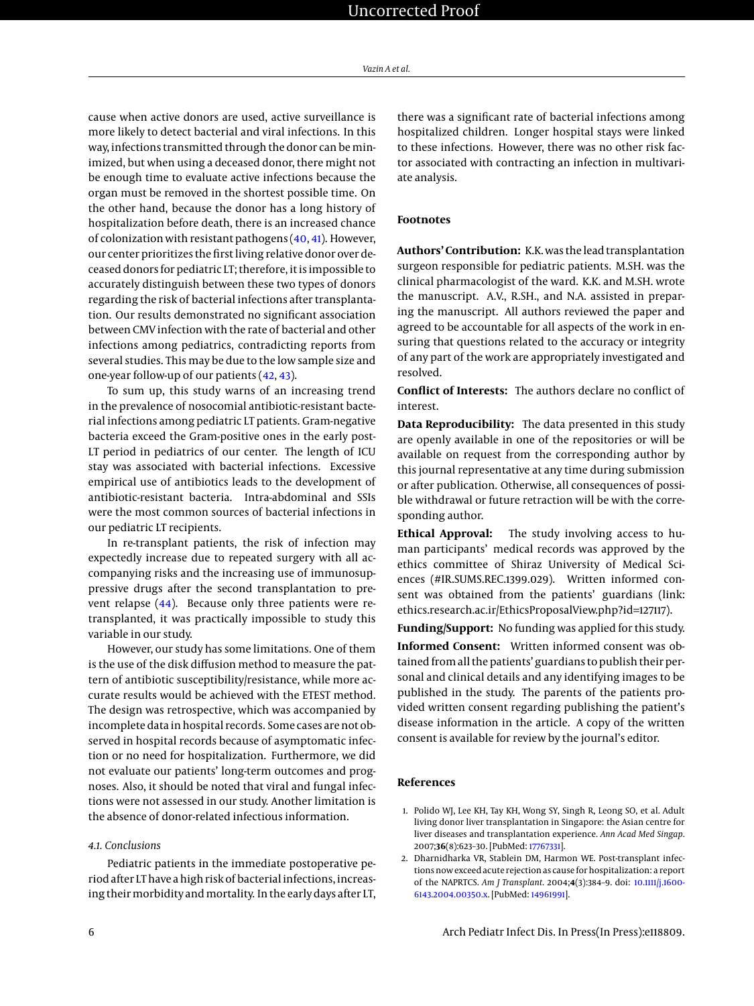cause when active donors are used, active surveillance is more likely to detect bacterial and viral infections. In this way, infections transmitted through the donor can be minimized, but when using a deceased donor, there might not be enough time to evaluate active infections because the organ must be removed in the shortest possible time. On the other hand, because the donor has a long history of hospitalization before death, there is an increased chance of colonization with resistant pathogens  $(40, 41)$  $(40, 41)$  $(40, 41)$ . However, our center prioritizes the first living relative donor over deceased donors for pediatric LT; therefore, it is impossible to accurately distinguish between these two types of donors regarding the risk of bacterial infections after transplantation. Our results demonstrated no significant association between CMV infection with the rate of bacterial and other infections among pediatrics, contradicting reports from several studies. This may be due to the low sample size and one-year follow-up of our patients [\(42,](#page-7-8) [43\)](#page-7-9).

To sum up, this study warns of an increasing trend in the prevalence of nosocomial antibiotic-resistant bacterial infections among pediatric LT patients. Gram-negative bacteria exceed the Gram-positive ones in the early post-LT period in pediatrics of our center. The length of ICU stay was associated with bacterial infections. Excessive empirical use of antibiotics leads to the development of antibiotic-resistant bacteria. Intra-abdominal and SSIs were the most common sources of bacterial infections in our pediatric LT recipients.

In re-transplant patients, the risk of infection may expectedly increase due to repeated surgery with all accompanying risks and the increasing use of immunosuppressive drugs after the second transplantation to prevent relapse [\(44\)](#page-7-10). Because only three patients were retransplanted, it was practically impossible to study this variable in our study.

However, our study has some limitations. One of them is the use of the disk diffusion method to measure the pattern of antibiotic susceptibility/resistance, while more accurate results would be achieved with the ETEST method. The design was retrospective, which was accompanied by incomplete data in hospital records. Some cases are not observed in hospital records because of asymptomatic infection or no need for hospitalization. Furthermore, we did not evaluate our patients' long-term outcomes and prognoses. Also, it should be noted that viral and fungal infections were not assessed in our study. Another limitation is the absence of donor-related infectious information.

#### *4.1. Conclusions*

Pediatric patients in the immediate postoperative period after LT have a high risk of bacterial infections, increasing their morbidity and mortality. In the early days after LT,

there was a significant rate of bacterial infections among hospitalized children. Longer hospital stays were linked to these infections. However, there was no other risk factor associated with contracting an infection in multivariate analysis.

#### **Footnotes**

**Authors' Contribution:** K.K. was the lead transplantation surgeon responsible for pediatric patients. M.SH. was the clinical pharmacologist of the ward. K.K. and M.SH. wrote the manuscript. A.V., R.SH., and N.A. assisted in preparing the manuscript. All authors reviewed the paper and agreed to be accountable for all aspects of the work in ensuring that questions related to the accuracy or integrity of any part of the work are appropriately investigated and resolved.

**Conflict of Interests:** The authors declare no conflict of interest.

**Data Reproducibility:** The data presented in this study are openly available in one of the repositories or will be available on request from the corresponding author by this journal representative at any time during submission or after publication. Otherwise, all consequences of possible withdrawal or future retraction will be with the corresponding author.

**Ethical Approval:** The study involving access to human participants' medical records was approved by the ethics committee of Shiraz University of Medical Sciences (#IR.SUMS.REC.1399.029). Written informed consent was obtained from the patients' guardians (link: ethics.research.ac.ir/EthicsProposalView.php?id=127117).

**Funding/Support:** No funding was applied for this study. **Informed Consent:** Written informed consent was obtained from all the patients' guardians to publish their personal and clinical details and any identifying images to be published in the study. The parents of the patients provided written consent regarding publishing the patient's disease information in the article. A copy of the written consent is available for review by the journal's editor.

#### **References**

- <span id="page-5-0"></span>1. Polido WJ, Lee KH, Tay KH, Wong SY, Singh R, Leong SO, et al. Adult living donor liver transplantation in Singapore: the Asian centre for liver diseases and transplantation experience. *Ann Acad Med Singap*. 2007;**36**(8):623–30. [PubMed: [17767331\]](http://www.ncbi.nlm.nih.gov/pubmed/17767331).
- <span id="page-5-1"></span>2. Dharnidharka VR, Stablein DM, Harmon WE. Post-transplant infections now exceed acute rejection as cause for hospitalization: a report of the NAPRTCS. *Am J Transplant*. 2004;**4**(3):384–9. doi: [10.1111/j.1600-](http://dx.doi.org/10.1111/j.1600-6143.2004.00350.x) [6143.2004.00350.x.](http://dx.doi.org/10.1111/j.1600-6143.2004.00350.x) [PubMed: [14961991\]](http://www.ncbi.nlm.nih.gov/pubmed/14961991).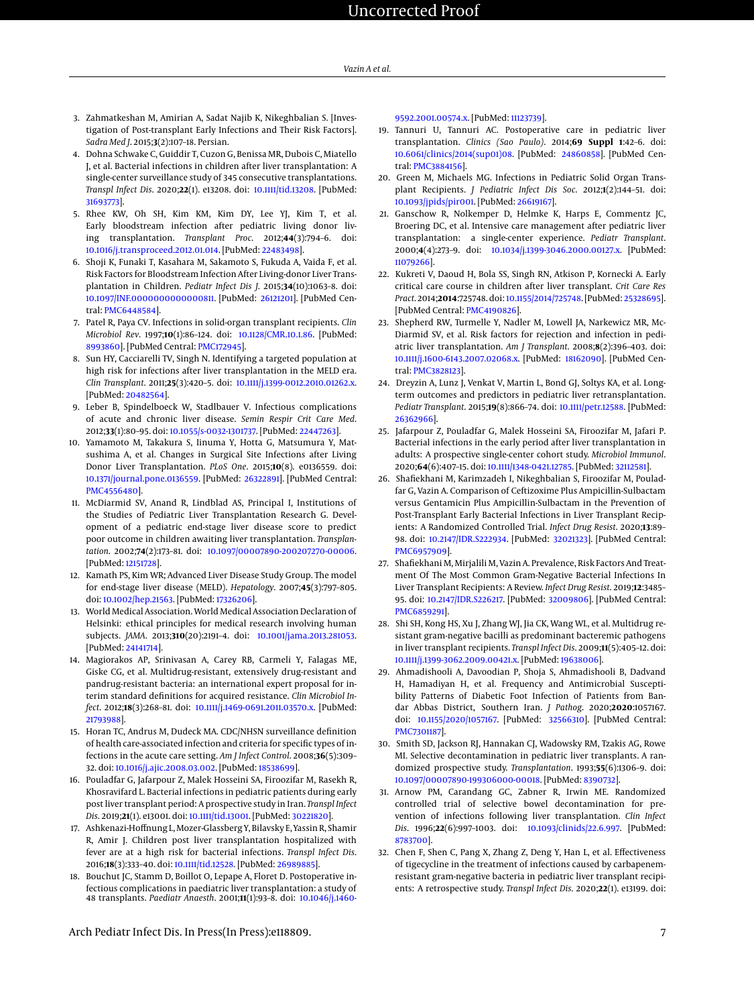- <span id="page-6-0"></span>3. Zahmatkeshan M, Amirian A, Sadat Najib K, Nikeghbalian S. [Investigation of Post-transplant Early Infections and Their Risk Factors]. *Sadra Med J*. 2015;**3**(2):107–18. Persian.
- <span id="page-6-1"></span>4. Dohna Schwake C, Guiddir T, Cuzon G, Benissa MR, Dubois C, Miatello J, et al. Bacterial infections in children after liver transplantation: A single-center surveillance study of 345 consecutive transplantations. *Transpl Infect Dis*. 2020;**22**(1). e13208. doi: [10.1111/tid.13208.](http://dx.doi.org/10.1111/tid.13208) [PubMed: [31693773\]](http://www.ncbi.nlm.nih.gov/pubmed/31693773).
- 5. Rhee KW, Oh SH, Kim KM, Kim DY, Lee YJ, Kim T, et al. Early bloodstream infection after pediatric living donor living transplantation. *Transplant Proc*. 2012;**44**(3):794–6. doi: [10.1016/j.transproceed.2012.01.014.](http://dx.doi.org/10.1016/j.transproceed.2012.01.014) [PubMed: [22483498\]](http://www.ncbi.nlm.nih.gov/pubmed/22483498).
- <span id="page-6-2"></span>6. Shoji K, Funaki T, Kasahara M, Sakamoto S, Fukuda A, Vaida F, et al. Risk Factors for Bloodstream Infection After Living-donor Liver Transplantation in Children. *Pediatr Infect Dis J.* 2015;34(10):1063-8. doi: [10.1097/INF.0000000000000811.](http://dx.doi.org/10.1097/INF.0000000000000811) [PubMed: [26121201\]](http://www.ncbi.nlm.nih.gov/pubmed/26121201). [PubMed Central: [PMC6448584\]](https://www.ncbi.nlm.nih.gov/pmc/articles/PMC6448584).
- <span id="page-6-3"></span>7. Patel R, Paya CV. Infections in solid-organ transplant recipients. *Clin Microbiol Rev*. 1997;**10**(1):86–124. doi: [10.1128/CMR.10.1.86.](http://dx.doi.org/10.1128/CMR.10.1.86) [PubMed: [8993860\]](http://www.ncbi.nlm.nih.gov/pubmed/8993860). [PubMed Central: [PMC172945\]](https://www.ncbi.nlm.nih.gov/pmc/articles/PMC172945).
- <span id="page-6-4"></span>8. Sun HY, Cacciarelli TV, Singh N. Identifying a targeted population at high risk for infections after liver transplantation in the MELD era. *Clin Transplant*. 2011;**25**(3):420–5. doi: [10.1111/j.1399-0012.2010.01262.x.](http://dx.doi.org/10.1111/j.1399-0012.2010.01262.x) [PubMed: [20482564\]](http://www.ncbi.nlm.nih.gov/pubmed/20482564).
- <span id="page-6-5"></span>9. Leber B, Spindelboeck W, Stadlbauer V. Infectious complications of acute and chronic liver disease. *Semin Respir Crit Care Med*. 2012;**33**(1):80–95. doi: [10.1055/s-0032-1301737.](http://dx.doi.org/10.1055/s-0032-1301737) [PubMed: [22447263\]](http://www.ncbi.nlm.nih.gov/pubmed/22447263).
- <span id="page-6-6"></span>10. Yamamoto M, Takakura S, Iinuma Y, Hotta G, Matsumura Y, Matsushima A, et al. Changes in Surgical Site Infections after Living Donor Liver Transplantation. *PLoS One*. 2015;**10**(8). e0136559. doi: [10.1371/journal.pone.0136559.](http://dx.doi.org/10.1371/journal.pone.0136559) [PubMed: [26322891\]](http://www.ncbi.nlm.nih.gov/pubmed/26322891). [PubMed Central: [PMC4556480\]](https://www.ncbi.nlm.nih.gov/pmc/articles/PMC4556480).
- <span id="page-6-7"></span>11. McDiarmid SV, Anand R, Lindblad AS, Principal I, Institutions of the Studies of Pediatric Liver Transplantation Research G. Development of a pediatric end-stage liver disease score to predict poor outcome in children awaiting liver transplantation. *Transplantation*. 2002;**74**(2):173–81. doi: [10.1097/00007890-200207270-00006.](http://dx.doi.org/10.1097/00007890-200207270-00006) [PubMed: [12151728\]](http://www.ncbi.nlm.nih.gov/pubmed/12151728).
- <span id="page-6-8"></span>12. Kamath PS, Kim WR; Advanced Liver Disease Study Group. The model for end-stage liver disease (MELD). *Hepatology*. 2007;**45**(3):797–805. doi: [10.1002/hep.21563.](http://dx.doi.org/10.1002/hep.21563) [PubMed: [17326206\]](http://www.ncbi.nlm.nih.gov/pubmed/17326206).
- <span id="page-6-9"></span>13. World Medical Association. World Medical Association Declaration of Helsinki: ethical principles for medical research involving human subjects. *JAMA*. 2013;**310**(20):2191–4. doi: [10.1001/jama.2013.281053.](http://dx.doi.org/10.1001/jama.2013.281053) [PubMed: [24141714\]](http://www.ncbi.nlm.nih.gov/pubmed/24141714).
- <span id="page-6-10"></span>14. Magiorakos AP, Srinivasan A, Carey RB, Carmeli Y, Falagas ME, Giske CG, et al. Multidrug-resistant, extensively drug-resistant and pandrug-resistant bacteria: an international expert proposal for interim standard definitions for acquired resistance. *Clin Microbiol Infect*. 2012;**18**(3):268–81. doi: [10.1111/j.1469-0691.2011.03570.x.](http://dx.doi.org/10.1111/j.1469-0691.2011.03570.x) [PubMed: [21793988\]](http://www.ncbi.nlm.nih.gov/pubmed/21793988).
- <span id="page-6-11"></span>15. Horan TC, Andrus M, Dudeck MA. CDC/NHSN surveillance definition of health care-associated infection and criteria for specific types of infections in the acute care setting. *Am J Infect Control*. 2008;**36**(5):309– 32. doi: [10.1016/j.ajic.2008.03.002.](http://dx.doi.org/10.1016/j.ajic.2008.03.002) [PubMed: [18538699\]](http://www.ncbi.nlm.nih.gov/pubmed/18538699).
- <span id="page-6-12"></span>16. Pouladfar G, Jafarpour Z, Malek Hosseini SA, Firoozifar M, Rasekh R, Khosravifard L. Bacterial infections in pediatric patients during early post liver transplant period: A prospective study in Iran. *Transpl Infect Dis*. 2019;**21**(1). e13001. doi: [10.1111/tid.13001.](http://dx.doi.org/10.1111/tid.13001) [PubMed: [30221820\]](http://www.ncbi.nlm.nih.gov/pubmed/30221820).
- <span id="page-6-13"></span>17. Ashkenazi-Hoffnung L, Mozer-Glassberg Y, Bilavsky E, Yassin R, Shamir R, Amir J. Children post liver transplantation hospitalized with fever are at a high risk for bacterial infections. *Transpl Infect Dis*. 2016;**18**(3):333–40. doi: [10.1111/tid.12528.](http://dx.doi.org/10.1111/tid.12528) [PubMed: [26989885\]](http://www.ncbi.nlm.nih.gov/pubmed/26989885).
- <span id="page-6-17"></span>18. Bouchut JC, Stamm D, Boillot O, Lepape A, Floret D. Postoperative infectious complications in paediatric liver transplantation: a study of 48 transplants. *Paediatr Anaesth*. 2001;**11**(1):93–8. doi: [10.1046/j.1460-](http://dx.doi.org/10.1046/j.1460-9592.2001.00574.x)

[9592.2001.00574.x.](http://dx.doi.org/10.1046/j.1460-9592.2001.00574.x) [PubMed: [11123739\]](http://www.ncbi.nlm.nih.gov/pubmed/11123739).

- 19. Tannuri U, Tannuri AC. Postoperative care in pediatric liver transplantation. *Clinics (Sao Paulo)*. 2014;**69 Suppl 1**:42–6. doi: [10.6061/clinics/2014\(sup01\)08.](http://dx.doi.org/10.6061/clinics/2014(sup01)08) [PubMed: [24860858\]](http://www.ncbi.nlm.nih.gov/pubmed/24860858). [PubMed Central: [PMC3884156\]](https://www.ncbi.nlm.nih.gov/pmc/articles/PMC3884156).
- 20. Green M, Michaels MG. Infections in Pediatric Solid Organ Transplant Recipients. *J Pediatric Infect Dis Soc*. 2012;**1**(2):144–51. doi: [10.1093/jpids/pir001.](http://dx.doi.org/10.1093/jpids/pir001) [PubMed: [26619167\]](http://www.ncbi.nlm.nih.gov/pubmed/26619167).
- <span id="page-6-14"></span>21. Ganschow R, Nolkemper D, Helmke K, Harps E, Commentz JC, Broering DC, et al. Intensive care management after pediatric liver transplantation: a single-center experience. *Pediatr Transplant*. 2000;**4**(4):273–9. doi: [10.1034/j.1399-3046.2000.00127.x.](http://dx.doi.org/10.1034/j.1399-3046.2000.00127.x) [PubMed: [11079266\]](http://www.ncbi.nlm.nih.gov/pubmed/11079266).
- <span id="page-6-15"></span>22. Kukreti V, Daoud H, Bola SS, Singh RN, Atkison P, Kornecki A. Early critical care course in children after liver transplant. *Crit Care Res Pract*. 2014;**2014**:725748. doi: [10.1155/2014/725748.](http://dx.doi.org/10.1155/2014/725748) [PubMed: [25328695\]](http://www.ncbi.nlm.nih.gov/pubmed/25328695). [PubMed Central: [PMC4190826\]](https://www.ncbi.nlm.nih.gov/pmc/articles/PMC4190826).
- <span id="page-6-16"></span>23. Shepherd RW, Turmelle Y, Nadler M, Lowell JA, Narkewicz MR, Mc-Diarmid SV, et al. Risk factors for rejection and infection in pediatric liver transplantation. *Am J Transplant*. 2008;**8**(2):396–403. doi: [10.1111/j.1600-6143.2007.02068.x.](http://dx.doi.org/10.1111/j.1600-6143.2007.02068.x) [PubMed: [18162090\]](http://www.ncbi.nlm.nih.gov/pubmed/18162090). [PubMed Central: [PMC3828123\]](https://www.ncbi.nlm.nih.gov/pmc/articles/PMC3828123).
- <span id="page-6-18"></span>24. Dreyzin A, Lunz J, Venkat V, Martin L, Bond GJ, Soltys KA, et al. Longterm outcomes and predictors in pediatric liver retransplantation. *Pediatr Transplant*. 2015;**19**(8):866–74. doi: [10.1111/petr.12588.](http://dx.doi.org/10.1111/petr.12588) [PubMed: [26362966\]](http://www.ncbi.nlm.nih.gov/pubmed/26362966).
- <span id="page-6-19"></span>25. Jafarpour Z, Pouladfar G, Malek Hosseini SA, Firoozifar M, Jafari P. Bacterial infections in the early period after liver transplantation in adults: A prospective single-center cohort study. *Microbiol Immunol*. 2020;**64**(6):407–15. doi: [10.1111/1348-0421.12785.](http://dx.doi.org/10.1111/1348-0421.12785) [PubMed: [32112581\]](http://www.ncbi.nlm.nih.gov/pubmed/32112581).
- <span id="page-6-20"></span>26. Shafiekhani M, Karimzadeh I, Nikeghbalian S, Firoozifar M, Pouladfar G, Vazin A. Comparison of Ceftizoxime Plus Ampicillin-Sulbactam versus Gentamicin Plus Ampicillin-Sulbactam in the Prevention of Post-Transplant Early Bacterial Infections in Liver Transplant Recipients: A Randomized Controlled Trial. *Infect Drug Resist*. 2020;**13**:89– 98. doi: [10.2147/IDR.S222934.](http://dx.doi.org/10.2147/IDR.S222934) [PubMed: [32021323\]](http://www.ncbi.nlm.nih.gov/pubmed/32021323). [PubMed Central: [PMC6957909\]](https://www.ncbi.nlm.nih.gov/pmc/articles/PMC6957909).
- <span id="page-6-21"></span>27. Shafiekhani M, Mirjalili M, Vazin A. Prevalence, Risk Factors And Treatment Of The Most Common Gram-Negative Bacterial Infections In Liver Transplant Recipients: A Review. *Infect Drug Resist*. 2019;**12**:3485– 95. doi: [10.2147/IDR.S226217.](http://dx.doi.org/10.2147/IDR.S226217) [PubMed: [32009806\]](http://www.ncbi.nlm.nih.gov/pubmed/32009806). [PubMed Central: [PMC6859291\]](https://www.ncbi.nlm.nih.gov/pmc/articles/PMC6859291).
- <span id="page-6-23"></span>28. Shi SH, Kong HS, Xu J, Zhang WJ, Jia CK, Wang WL, et al. Multidrug resistant gram-negative bacilli as predominant bacteremic pathogens in liver transplant recipients. *Transpl Infect Dis*. 2009;**11**(5):405–12. doi: [10.1111/j.1399-3062.2009.00421.x.](http://dx.doi.org/10.1111/j.1399-3062.2009.00421.x) [PubMed: [19638006\]](http://www.ncbi.nlm.nih.gov/pubmed/19638006).
- <span id="page-6-22"></span>29. Ahmadishooli A, Davoodian P, Shoja S, Ahmadishooli B, Dadvand H, Hamadiyan H, et al. Frequency and Antimicrobial Susceptibility Patterns of Diabetic Foot Infection of Patients from Bandar Abbas District, Southern Iran. *J Pathog*. 2020;**2020**:1057167. doi: [10.1155/2020/1057167.](http://dx.doi.org/10.1155/2020/1057167) [PubMed: [32566310\]](http://www.ncbi.nlm.nih.gov/pubmed/32566310). [PubMed Central: [PMC7301187\]](https://www.ncbi.nlm.nih.gov/pmc/articles/PMC7301187).
- <span id="page-6-24"></span>30. Smith SD, Jackson RJ, Hannakan CJ, Wadowsky RM, Tzakis AG, Rowe MI. Selective decontamination in pediatric liver transplants. A randomized prospective study. *Transplantation*. 1993;**55**(6):1306–9. doi: [10.1097/00007890-199306000-00018.](http://dx.doi.org/10.1097/00007890-199306000-00018) [PubMed: [8390732\]](http://www.ncbi.nlm.nih.gov/pubmed/8390732).
- <span id="page-6-25"></span>31. Arnow PM, Carandang GC, Zabner R, Irwin ME. Randomized controlled trial of selective bowel decontamination for prevention of infections following liver transplantation. *Clin Infect Dis*. 1996;**22**(6):997–1003. doi: [10.1093/clinids/22.6.997.](http://dx.doi.org/10.1093/clinids/22.6.997) [PubMed: [8783700\]](http://www.ncbi.nlm.nih.gov/pubmed/8783700).
- <span id="page-6-26"></span>32. Chen F, Shen C, Pang X, Zhang Z, Deng Y, Han L, et al. Effectiveness of tigecycline in the treatment of infections caused by carbapenemresistant gram-negative bacteria in pediatric liver transplant recipients: A retrospective study. *Transpl Infect Dis*. 2020;**22**(1). e13199. doi: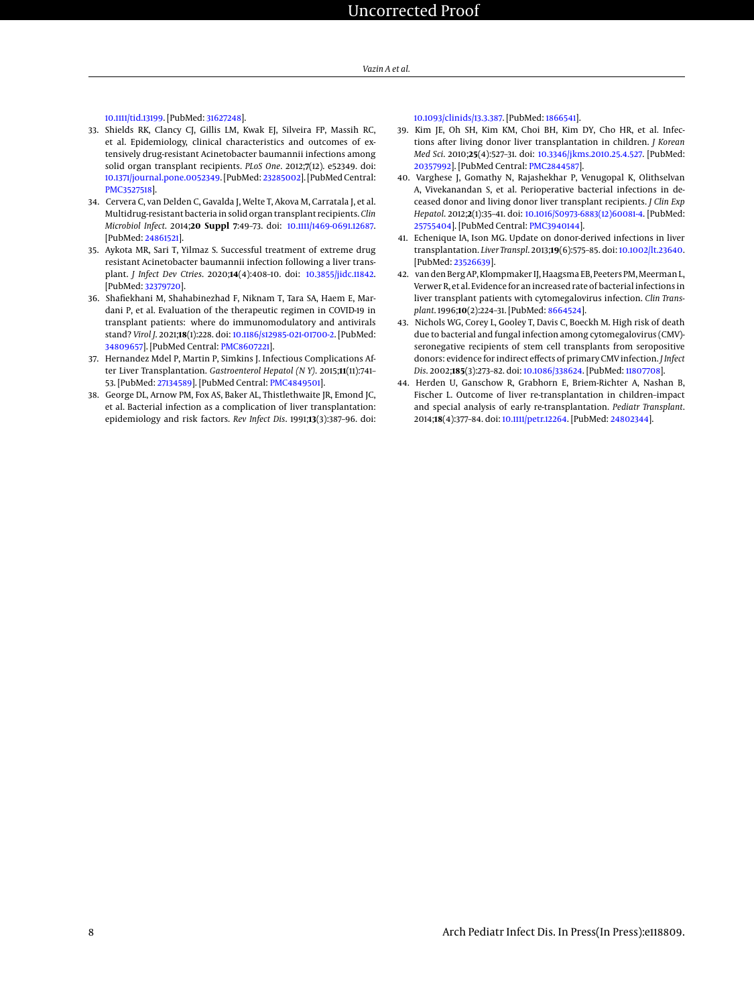[10.1111/tid.13199.](http://dx.doi.org/10.1111/tid.13199) [PubMed: [31627248\]](http://www.ncbi.nlm.nih.gov/pubmed/31627248).

- <span id="page-7-0"></span>33. Shields RK, Clancy CJ, Gillis LM, Kwak EJ, Silveira FP, Massih RC, et al. Epidemiology, clinical characteristics and outcomes of extensively drug-resistant Acinetobacter baumannii infections among solid organ transplant recipients. *PLoS One*. 2012;**7**(12). e52349. doi: [10.1371/journal.pone.0052349.](http://dx.doi.org/10.1371/journal.pone.0052349) [PubMed: [23285002\]](http://www.ncbi.nlm.nih.gov/pubmed/23285002). [PubMed Central: [PMC3527518\]](https://www.ncbi.nlm.nih.gov/pmc/articles/PMC3527518).
- <span id="page-7-1"></span>34. Cervera C, van Delden C, Gavalda J, Welte T, Akova M, Carratala J, et al. Multidrug-resistant bacteria in solid organ transplant recipients. *Clin Microbiol Infect*. 2014;**20 Suppl 7**:49–73. doi: [10.1111/1469-0691.12687.](http://dx.doi.org/10.1111/1469-0691.12687) [PubMed: [24861521\]](http://www.ncbi.nlm.nih.gov/pubmed/24861521).
- 35. Aykota MR, Sari T, Yilmaz S. Successful treatment of extreme drug resistant Acinetobacter baumannii infection following a liver transplant. *J Infect Dev Ctries*. 2020;**14**(4):408–10. doi: [10.3855/jidc.11842.](http://dx.doi.org/10.3855/jidc.11842) [PubMed: [32379720\]](http://www.ncbi.nlm.nih.gov/pubmed/32379720).
- <span id="page-7-2"></span>36. Shafiekhani M, Shahabinezhad F, Niknam T, Tara SA, Haem E, Mardani P, et al. Evaluation of the therapeutic regimen in COVID-19 in transplant patients: where do immunomodulatory and antivirals stand? *Virol J*. 2021;**18**(1):228. doi: [10.1186/s12985-021-01700-2.](http://dx.doi.org/10.1186/s12985-021-01700-2) [PubMed: [34809657\]](http://www.ncbi.nlm.nih.gov/pubmed/34809657). [PubMed Central: [PMC8607221\]](https://www.ncbi.nlm.nih.gov/pmc/articles/PMC8607221).
- <span id="page-7-3"></span>37. Hernandez Mdel P, Martin P, Simkins J. Infectious Complications After Liver Transplantation. *Gastroenterol Hepatol (N Y)*. 2015;**11**(11):741– 53. [PubMed: [27134589\]](http://www.ncbi.nlm.nih.gov/pubmed/27134589). [PubMed Central: [PMC4849501\]](https://www.ncbi.nlm.nih.gov/pmc/articles/PMC4849501).
- <span id="page-7-4"></span>38. George DL, Arnow PM, Fox AS, Baker AL, Thistlethwaite JR, Emond JC, et al. Bacterial infection as a complication of liver transplantation: epidemiology and risk factors. *Rev Infect Dis*. 1991;**13**(3):387–96. doi:

[10.1093/clinids/13.3.387.](http://dx.doi.org/10.1093/clinids/13.3.387) [PubMed: [1866541\]](http://www.ncbi.nlm.nih.gov/pubmed/1866541).

- <span id="page-7-5"></span>39. Kim JE, Oh SH, Kim KM, Choi BH, Kim DY, Cho HR, et al. Infections after living donor liver transplantation in children. *J Korean Med Sci*. 2010;**25**(4):527–31. doi: [10.3346/jkms.2010.25.4.527.](http://dx.doi.org/10.3346/jkms.2010.25.4.527) [PubMed: [20357992\]](http://www.ncbi.nlm.nih.gov/pubmed/20357992). [PubMed Central: [PMC2844587\]](https://www.ncbi.nlm.nih.gov/pmc/articles/PMC2844587).
- <span id="page-7-6"></span>40. Varghese J, Gomathy N, Rajashekhar P, Venugopal K, Olithselvan A, Vivekanandan S, et al. Perioperative bacterial infections in deceased donor and living donor liver transplant recipients. *J Clin Exp Hepatol*. 2012;**2**(1):35–41. doi: [10.1016/S0973-6883\(12\)60081-4.](http://dx.doi.org/10.1016/S0973-6883(12)60081-4) [PubMed: [25755404\]](http://www.ncbi.nlm.nih.gov/pubmed/25755404). [PubMed Central: [PMC3940144\]](https://www.ncbi.nlm.nih.gov/pmc/articles/PMC3940144).
- <span id="page-7-7"></span>41. Echenique IA, Ison MG. Update on donor-derived infections in liver transplantation. *Liver Transpl*. 2013;**19**(6):575–85. doi: [10.1002/lt.23640.](http://dx.doi.org/10.1002/lt.23640) [PubMed: [23526639\]](http://www.ncbi.nlm.nih.gov/pubmed/23526639).
- <span id="page-7-8"></span>42. van den Berg AP, Klompmaker IJ, Haagsma EB, Peeters PM, Meerman L, Verwer R, et al. Evidence for an increased rate of bacterial infections in liver transplant patients with cytomegalovirus infection. *Clin Transplant*. 1996;**10**(2):224–31. [PubMed: [8664524\]](http://www.ncbi.nlm.nih.gov/pubmed/8664524).
- <span id="page-7-9"></span>43. Nichols WG, Corey L, Gooley T, Davis C, Boeckh M. High risk of death due to bacterial and fungal infection among cytomegalovirus (CMV) seronegative recipients of stem cell transplants from seropositive donors: evidence for indirect effects of primary CMV infection. *J Infect Dis*. 2002;**185**(3):273–82. doi: [10.1086/338624.](http://dx.doi.org/10.1086/338624) [PubMed: [11807708\]](http://www.ncbi.nlm.nih.gov/pubmed/11807708).
- <span id="page-7-10"></span>44. Herden U, Ganschow R, Grabhorn E, Briem-Richter A, Nashan B, Fischer L. Outcome of liver re-transplantation in children–impact and special analysis of early re-transplantation. *Pediatr Transplant*. 2014;**18**(4):377–84. doi: [10.1111/petr.12264.](http://dx.doi.org/10.1111/petr.12264) [PubMed: [24802344\]](http://www.ncbi.nlm.nih.gov/pubmed/24802344).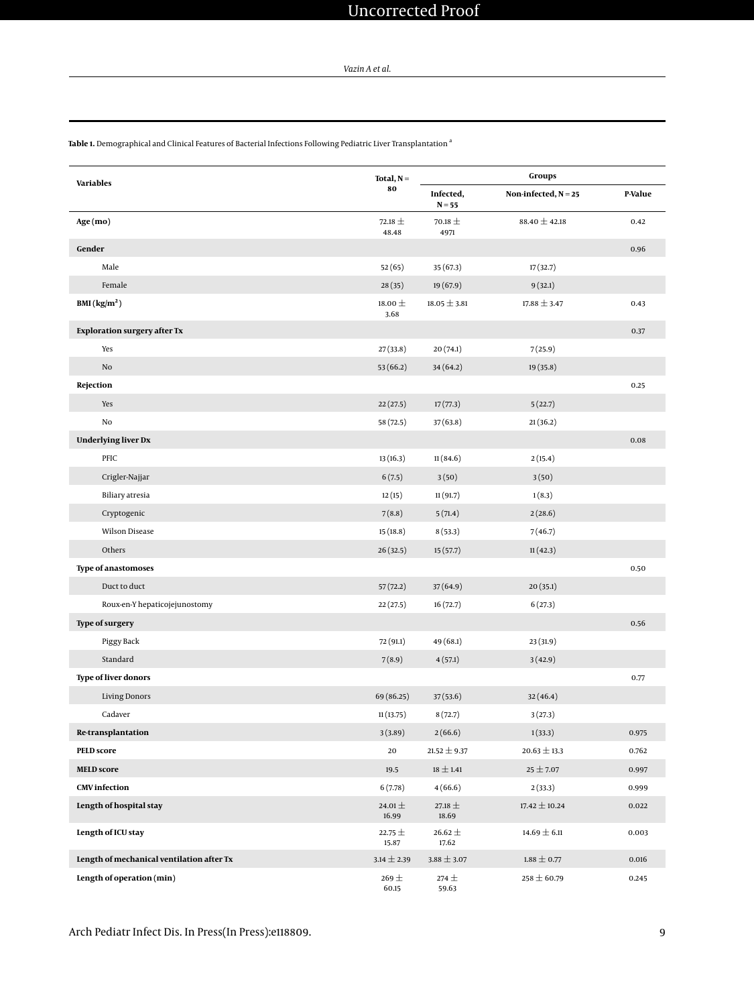*Vazin A et al.*

<span id="page-8-0"></span>**Table 1.** Demographical and Clinical Features of Bacterial Infections Following Pediatric Liver Transplantation <sup>a</sup>

| <b>Variables</b>                          | Total, $N =$         | Groups                |                        |         |  |
|-------------------------------------------|----------------------|-----------------------|------------------------|---------|--|
|                                           | 80                   | Infected,<br>$N = 55$ | Non-infected, $N = 25$ | P-Value |  |
| Age (mo)                                  | 72.18 $\pm$<br>48.48 | 70.18 $\pm$<br>4971   | 88.40 $\pm$ 42.18      | 0.42    |  |
| Gender                                    |                      |                       |                        | 0.96    |  |
| Male                                      | 52(65)               | 35 (67.3)             | 17(32.7)               |         |  |
| Female                                    | 28(35)               | 19(67.9)              | 9(32.1)                |         |  |
| BMI (kg/m <sup>2</sup> )                  | 18.00 $\pm$<br>3.68  | $18.05 \pm 3.81$      | $17.88 \pm 3.47$       | 0.43    |  |
| <b>Exploration surgery after Tx</b>       |                      |                       |                        | 0.37    |  |
| Yes                                       | 27(33.8)             | 20(74.1)              | 7(25.9)                |         |  |
| $\rm No$                                  | 53(66.2)             | 34(64.2)              | 19 (35.8)              |         |  |
| Rejection                                 |                      |                       |                        | 0.25    |  |
| Yes                                       | 22(27.5)             | 17(77.3)              | 5(22.7)                |         |  |
| No                                        | 58 (72.5)            | 37(63.8)              | 21(36.2)               |         |  |
| <b>Underlying liver Dx</b>                |                      |                       |                        | 0.08    |  |
| PFIC                                      | 13(16.3)             | 11(84.6)              | 2(15.4)                |         |  |
| Crigler-Najjar                            | 6(7.5)               | 3(50)                 | 3(50)                  |         |  |
| Biliary atresia                           | 12(15)               | 11(91.7)              | 1(8.3)                 |         |  |
| Cryptogenic                               | 7(8.8)               | 5(71.4)               | 2(28.6)                |         |  |
| Wilson Disease                            | 15(18.8)             | 8(53.3)               | 7(46.7)                |         |  |
| Others                                    | 26(32.5)             | 15(57.7)              | 11(42.3)               |         |  |
| <b>Type of anastomoses</b>                |                      |                       |                        | 0.50    |  |
| Duct to duct                              | 57(72.2)             | 37(64.9)              | 20(35.1)               |         |  |
| Roux-en-Y hepaticojejunostomy             | 22(27.5)             | 16(72.7)              | 6(27.3)                |         |  |
| <b>Type of surgery</b>                    |                      |                       |                        | 0.56    |  |
| Piggy Back                                | 72 (91.1)            | 49 (68.1)             | 23 (31.9)              |         |  |
| Standard                                  | 7(8.9)               | 4(57.1)               | 3(42.9)                |         |  |
| <b>Type of liver donors</b>               |                      |                       |                        | 0.77    |  |
| <b>Living Donors</b>                      | 69 (86.25)           | 37(53.6)              | 32(46.4)               |         |  |
| Cadaver                                   | 11(13.75)            | 8(72.7)               | 3(27.3)                |         |  |
| Re-transplantation                        | 3(3.89)              | 2(66.6)               | 1(33.3)                | 0.975   |  |
| <b>PELD</b> score                         | 20                   | $21.52 \pm 9.37$      | $20.63 \pm 13.3$       | 0.762   |  |
| <b>MELD</b> score                         | 19.5                 | $18 \pm 1.41$         | $25 + 7.07$            | 0.997   |  |
| <b>CMV</b> infection                      | 6(7.78)              | 4(66.6)               | 2(33.3)                | 0.999   |  |
| Length of hospital stay                   |                      | 27.18 $\pm$<br>18.69  | $17.42 \pm 10.24$      | 0.022   |  |
| Length of ICU stay                        | 22.75 $\pm$<br>15.87 | 26.62 $\pm$<br>17.62  | $14.69 \pm 6.11$       | 0.003   |  |
| Length of mechanical ventilation after Tx | $3.14 \pm 2.39$      | $3.88 \pm 3.07$       | $1.88 \pm 0.77$        | 0.016   |  |
| Length of operation (min)                 | 269 $\pm$<br>60.15   | $274 \pm$<br>59.63    | $258 \pm 60.79$        | 0.245   |  |

Arch Pediatr Infect Dis. In Press(In Press):e118809. 9